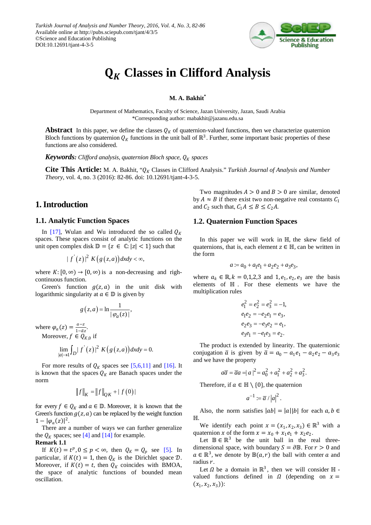

# **Classes in Clifford Analysis**

### **M. A. Bakhit\***

Department of Mathematics, Faculty of Science, Jazan University, Jazan, Saudi Arabia \*Corresponding author: mabakhit@jazanu.edu.sa

**Abstract** In this paper, we define the classes  $Q_K$  of quaternion-valued functions, then we characterize quaternion Bloch functions by quaternion  $Q_K$  functions in the unit ball of ℝ<sup>3</sup>. Further, some important basic properties of these functions are also considered.

*Keywords: Clifford analysis, quaternion Bloch space,*  $Q_K$  *spaces* 

**Cite This Article:** M. A. Bakhit, " $Q_K$  Classes in Clifford Analysis." *Turkish Journal of Analysis and Number Theory*, vol. 4, no. 3 (2016): 82-86. doi: 10.12691/tjant-4-3-5.

# **1. Introduction**

### **1.1. Analytic Function Spaces**

In [\[17\],](#page-4-0) Wulan and Wu introduced the so called  $Q_K$ spaces. These spaces consist of analytic functions on the unit open complex disk  $\mathbb{D} = \{z \in \mathbb{C} : |z| < 1\}$  such that

$$
|f'(z)|^2 K(g(z,a))dxdy < \infty,
$$

where  $K: [0, \infty) \to [0, \infty)$  is a non-decreasing and righcontinuous function.

Green's function  $g(z, a)$  in the unit disk with logarithmic singularity at  $a \in \mathbb{D}$  is given by

$$
g(z,a) = \ln \frac{1}{|\varphi_a(z)|},
$$

where  $\varphi_a(z) = \frac{a-z}{1-\bar{a}z}$ .

Moreover,  $f \in Q_{K,0}$  if

$$
\lim_{|a| \to 1} \int_{D} |f'(z)|^2 K(g(z,a)) dx dy = 0.
$$

For more results of  $Q_K$  spaces see [\[5,6,11\]](#page-4-1) and [\[16\].](#page-4-2) It is known that the spaces  $Q_K$  are Banach spaces under the norm

$$
\|f\|_K = \|f\|_{QK} + |f(0)|
$$

for every  $f \in Q_K$  and  $a \in \mathbb{D}$ . Moreover, it is known that the Green's function  $g(z, a)$  can be replaced by the weight function  $1 - |\varphi_a(z)|^2$ .

There are a number of ways we can further generalize the  $Q_K$  spaces; se[e \[4\]](#page-4-3) and [\[14\]](#page-4-4) for example.

### **Remark 1.1**

If  $K(t) = t^p, 0 \le p < \infty$ , then  $Q_K = Q_p$  see [\[5\].](#page-4-1) In particular, if  $K(t) = 1$ , then  $Q_K$  is the Dirichlet space  $D$ . Moreover, if  $K(t) = t$ , then  $Q_K$  coincides with BMOA, the space of analytic functions of bounded mean oscillation.

Two magnitudes  $A > 0$  and  $B > 0$  are similar, denoted by  $A \approx B$  if there exist two non-negative real constants  $C_1$ and  $C_2$  such that,  $C_1 A \leq B \leq C_2 A$ .

### **1.2. Quaternion Function Spaces**

In this paper we will work in ℍ, the skew field of quaternions, that is, each element  $z \in \mathbb{H}$ , can be written in the form

$$
a:=a_0+a_1e_1+a_2e_2+a_3e_3,\\
$$

where  $a_k \in \mathbb{R}$ ,  $k = 0,1,2,3$  and  $1, e_1, e_2, e_3$  are the basis elements of ℍ . For these elements we have the multiplication rules

$$
e_1^2 = e_2^2 = e_3^2 = -1,
$$
  
\n
$$
e_1e_2 = -e_2e_1 = e_3,
$$
  
\n
$$
e_2e_3 = -e_3e_2 = e_1,
$$
  
\n
$$
e_3e_1 = -e_1e_3 = e_2.
$$

The product is extended by linearity. The quaternionic conjugation  $\bar{a}$  is given by  $\bar{a} = a_0 - a_1 e_1 - a_2 e_2 - a_3 e_3$ and we have the property

$$
a\overline{a} = \overline{a}a = |a|^2 = a_0^2 + a_1^2 + a_2^2 + a_3^2.
$$

Therefore, if  $a \in \mathbb{H} \setminus \{0\}$ , the quaternion

$$
a^{-1} := \overline{a} / |a|^2.
$$

Also, the norm satisfies  $|ab| = |a||b|$  for each  $a, b \in \mathbb{R}$ ℍ.

We identify each point  $x = (x_1, x_2, x_3) \in \mathbb{R}^3$  with a quaternion x of the form  $x = x_0 + x_1 e_1 + x_2 e_2$ .

Let  $\mathbb{B} \in \mathbb{R}^3$  be the unit ball in the real threedimensional space, with boundary  $S = \partial \mathbb{B}$ . For  $r > 0$  and  $a \in \mathbb{R}^3$ , we denote by  $\mathbb{B}(a, r)$  the ball with center a and radius  $r$ .

Let  $\Omega$  be a domain in  $\mathbb{R}^3$ , then we will consider  $\mathbb H$  valued functions defined in  $\Omega$  (depending on  $x =$  $(x_1, x_2, x_3)$ :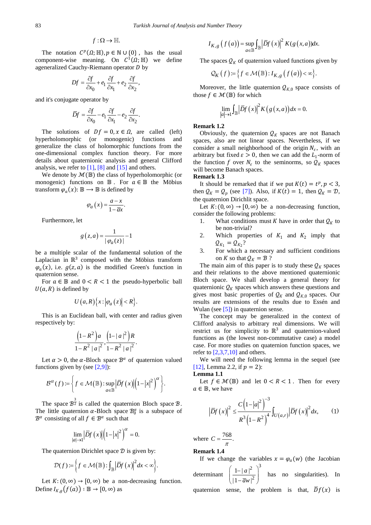$$
f:\Omega\to\mathbb{H}.
$$

The notation  $C^p(\Omega; \mathbb{H})$ ,  $p \in \mathbb{N} \cup \{0\}$ , has the usual component-wise meaning. On  $C^1(\Omega; \mathbb{H})$  we define ageneralized Cauchy-Riemann operator  $D$  by

$$
Df = \frac{\partial f}{\partial x_0} + e_1 \frac{\partial f}{\partial x_1} + e_2 \frac{\partial f}{\partial x_2},
$$

and it's conjugate operator by

$$
\overline{D}f = \frac{\partial f}{\partial x_0} - e_1 \frac{\partial f}{\partial x_1} - e_2 \frac{\partial f}{\partial x_2}.
$$

The solutions of  $Df = 0, x \in \Omega$ , are called (left) reproducions of monogenic) functions and hyperholomorphic (or monogenic) functions generalize the class of holomorphic functions from the one-dimensional complex function theory. For more details about quaternionic analysis and general Clifford analysis, we refer to  $[1]$ ,  $[8]$  and  $[15]$  and others.

We denote by  $\mathcal{M}(\mathbb{B})$  the class of hyperholomorphic (or monogenic) functions on  $\mathbb B$ . For  $a \in \mathbb B$  the Möbius transform  $\varphi_a(x)$ :  $\mathbb{B} \to \mathbb{B}$  is defined by

$$
\varphi_a(x) = \frac{a - x}{1 - \overline{a}x}.
$$

Furthermore, let

$$
g(z,a) = \frac{1}{|\varphi_a(z)|} - 1
$$

be a multiple scalar of the fundamental solution of the Laplacian in  $\mathbb{R}^3$  composed with the Möbius transform  $\varphi_a(x)$ , i.e.  $g(z, a)$  is the modified Green's function in quaternion sense.

For  $a \in \mathbb{B}$  and  $0 < R < 1$  the pseudo-hyperbolic ball  $U(a, R)$  is defined by

$$
U\left(a,R\right)\big\{x:\big|\varphi_a\left(z\right)\big|
$$

This is an Euclidean ball, with center and radius given respectively by:

$$
\frac{\left(1 - R^2\right)a}{1 - R^2 |a|^2}, \frac{\left(1 - |a|^2\right)R}{1 - R^2 |a|^2}.
$$

Let  $\alpha > 0$ , the  $\alpha$ -Bloch space  $\beta^{\alpha}$  of quaternion valued functions given by (see  $[2,9]$ ):

$$
\mathcal{B}^{\alpha}(f) := \left\{ f \in \mathcal{M}(\mathbb{B}) : \sup_{a \in \mathbb{B}} \left| \overline{D} f(x) \right| \left( 1 - |x|^2 \right)^{\alpha} \right\}.
$$

The space  $\mathcal{B}^{\frac{3}{2}}$  is called the quaternion Bloch space  $\mathcal{B}$ . The little quaternion  $\alpha$ -Bloch space  $\mathcal{B}_0^{\alpha}$  is a subspace of  $\mathcal{B}^{\alpha}$  consisting of all  $f \in \mathcal{B}^{\alpha}$  such that

$$
\lim_{|a|\to 1} \left| \overline{D}f(x) \right| \left( 1 - |x|^2 \right)^{\alpha} = 0.
$$

The quaternion Dirichlet space  $D$  is given by:

$$
\mathcal{D}(f) := \left\{ f \in \mathcal{M}\big(\mathbb{B}\big) : \int_{\mathbb{B}} \left| \overline{D} f\left(x\right) \right|^2 dx < \infty \right\}.
$$

Let  $K: (0, \infty) \to [0, \infty)$  be a non-decreasing function. Define  $I_{K,a}(f(a)) : \mathbb{B} \to [0,\infty)$  as

$$
I_{K,g}(f(a)) = \sup_{a \in \mathbb{B}} \int_{\mathbb{B}} |\overline{D}f(x)|^2 K(g(x,a))dx.
$$

The spaces  $Q_K$  of quaternion valued functions given by

$$
\mathcal{Q}_K(f) := \left\{ f \in \mathcal{M}(\mathbb{B}) : I_{K,g} \left( f(a) \right) < \infty \right\}.
$$

Moreover, the little quaternion  $Q_{K,0}$  space consists of those  $f \in \mathcal{M}(\mathbb{B})$  for which

$$
\lim_{|a|\to 1} \int_{\mathbb{B}} \left| \overline{D} f(x) \right|^2 K\big(g\big(x, a\big)\big) dx = 0.
$$

#### **Remark 1.2**

Obviously, the quaternion  $Q_K$  spaces are not Banach spaces, also are not linear spaces. Nevertheless, if we consider a small neighborhood of the origin  $N<sub>s</sub>$ , with an arbitrary but fixed  $\varepsilon > 0$ , then we can add the  $L_1$ -norm of the function f over  $N<sub>s</sub>$  to the seminorms, so  $Q<sub>K</sub>$  spaces will become Banach spaces.

### **Remark 1.3**

It should be remarked that if we put  $K(t) = t^p, p < 3$ , then  $Q_K = Q_p$  (see [\[7\]\)](#page-4-9). Also, if  $K(t) = 1$ , then  $Q_K = \mathcal{D}$ , the quaternion Dirichlit space.

Let  $K: (0, \infty) \to [0, \infty)$  be a non-decreasing function, consider the following problems:

- 1. What conditions must *K* have in order that  $Q_K$  to be non-trivial?
- 2. Which properties of  $K_1$  and  $K_2$  imply that  $Q_{K_1} = Q_{K_2}$ ?
- 3. For which a necessary and sufficient conditions on K so that  $Q_K = B$ ?

The main aim of this paper is to study these  $Q_K$  spaces and their relations to the above mentioned quaternionic Bloch space. We shall develop a general theory for quaternionic  $Q_K$  spaces which answers these questions and gives most basic properties of  $Q_K$  and  $Q_{K,0}$  spaces. Our results are extensions of the results due to Essén and Wulan (see [\[5\]\)](#page-4-1) in quaternion sense.

The concept may be generalized in the context of Clifford analysis to arbitrary real dimensions. We will restrict us for simplicity to  $\mathbb{R}^3$  and quaternion-valued functions as (the lowest non-commutative case) a model case. For more studies on quaternion function spaces, we refer to  $[2,3,7,10]$  and others.

We will need the following lemma in the sequel (see [\[12\],](#page-4-10) Lemma 2.2, if  $p = 2$ ):

#### **Lemma 1.1**

Let  $f \in \mathcal{M}(\mathbb{B})$  and let  $0 < R < 1$ . Then for every  $a \in \mathbb{B}$ , we have

$$
\left|\overline{D}f(x)\right|^2 \le \frac{C\left(1-|a|^2\right)^{-3}}{R^3\left(1-R^2\right)^4} \int_{U(a,r)} \left|\overline{D}f(x)\right|^2 dx, \qquad (1)
$$

where  $C = \frac{768}{\pi}$ .

**Remark 1.4**

If we change the variables  $x = \varphi_a(w)$  (the Jacobian determinant 2  $\gamma^3$ 2  $1-|a|$  $|1 - \overline{a}w|$ *a aw*  $\left(\frac{1-|a|^2}{2}\right)^2$  $\left(\frac{1-|\alpha|}{|1-\overline{a}w|^2}\right)$  has no singularities). In

quaternion sense, the problem is that,  $\overline{D}f(x)$  is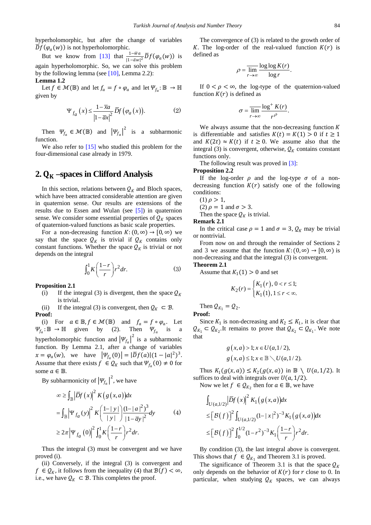hyperholomorphic, but after the change of variables  $\overline{D}f(\varphi_a(w))$  is not hyperholomorphic.

But we know from [\[13\]](#page-4-11) that  $\frac{1-wa}{|1-\bar{a}w|^2} \overline{D} f(\varphi_a(w))$  is again hyperholomorphic. So, we can solve this problem by the following lemma (see  $[10]$ , Lemma 2.2):

### **Lemma 1.2**

Let  $f \in \mathcal{M}(\mathbb{B})$  and let  $f_a = f \circ \varphi_a$  and let  $\Psi_{f_a} : \mathbb{B} \to \mathbb{H}$ given by

$$
\Psi_{f_a}(x) \le \frac{1 - \overline{x}a}{\left|1 - \overline{a}x\right|^2} \overline{D}f\left(\varphi_a(x)\right). \tag{2}
$$

Then  $\Psi_{f_a} \in \mathcal{M}(\mathbb{B})$  and  $|\Psi_{f_a}|^2$  is a subharmonic function.

We also refer to [\[15\]](#page-4-7) who studied this problem for the four-dimensional case already in 1979.

# **2. –spaces in Clifford Analysis**

In this section, relations between  $Q_K$  and Bloch spaces, which have been attracted considerable attention are given in quaternion sense. Our results are extensions of the results due to Essen and Wulan (see [\[5\]\)](#page-4-1) in quaternion sense. We consider some essential properties of  $Q_K$  spaces of quaternion-valued functions as basic scale properties.

For a non-decreasing function  $K: (0, \infty) \to [0, \infty)$  we say that the space  $Q_K$  is trivial if  $Q_K$  contains only constant functions. Whether the space  $Q_K$  is trivial or not depends on the integral

$$
\int_0^1 K\left(\frac{1-r}{r}\right)r^2 dr.
$$
 (3)

**Proposition 2.1**

(i) If the integral (3) is divergent, then the space  $Q_K$ is trivial.

(ii) If the integral (3) is convergent, then  $Q_K \subset \mathcal{B}$ . **Proof:**

(i) For  $a \in \mathbb{B}, f \in \mathcal{M}(\mathbb{B})$  and  $f_a = f \circ \varphi_a$ . Let  $\Psi_{f_a} : \mathbb{B} \to \mathbb{H}$  given by (2). Then  $\Psi_{f_a}$  is a hyperholomorphic function and  $|\Psi_{f_a}|^2$  is a subharmonic function. By Lemma 2.1, after a change of variables  $x = \varphi_a(w)$ , we have  $|\Psi_{f_a}(0)| = |\overline{D}f(a)|(1 - |a|^2)^3$ . Assume that there exists  $f \in \mathcal{Q}_K$  such that  $\Psi_{f_a}(0) \neq 0$  for some  $a \in \mathbb{B}$ .

By subharmonicity of  $|\Psi_{f_a}|^2$ , we have

$$
\begin{aligned}\n&\infty \geq \int_{\mathbb{B}} \left| \overline{D}f(x) \right|^2 K\left(g(x, a)\right) dx \\
&= \int_{\mathbb{B}} \left| \Psi_{f_a}(y) \right|^2 K\left(\frac{1-|y|}{|y|}\right) \frac{(1-|a|^2)^3}{|1-\overline{a}y|^2} dy\n\end{aligned} \tag{4}
$$
\n
$$
\geq 2\pi \left| \Psi_{f_a}(0) \right|^2 \int_0^1 K\left(\frac{1-r}{r}\right) r^2 dr.
$$

Thus the integral (3) must be convergent and we have proved (i).

(ii) Conversely, if the integral (3) is convergent and  $f \in \mathcal{Q}_K$ , it follows from the inequality (4) that  $\mathcal{B}(f) < \infty$ , i.e., we have  $Q_K \subset \mathcal{B}$ . This completes the proof.

The convergence of (3) is related to the growth order of K. The log-order of the real-valued function  $K(r)$  is defined as

$$
\rho = \overline{\lim_{r \to \infty}} \frac{\log \log K(r)}{\log r}.
$$

If  $0 < \rho < \infty$ , the log-type of the quaternion-valued function  $K(r)$  is defined as

$$
\sigma = \frac{\text{lim}}{r \to \infty} \frac{\log^+ K(r)}{r^{\rho}}.
$$

We always assume that the non-decreasing function  $$ is differentiable and satisfies  $K(t) = K(1) > 0$  if  $t \ge 1$ and  $K(2t) \approx K(t)$  if  $t \ge 0$ . We assume also that the integral (3) is convergent, otherwise,  $Q_K$  contains constant functions only.

The following result was proved in [\[3\]:](#page-4-13)

#### **Proposition 2.2**

If the log-order  $\rho$  and the log-type  $\sigma$  of a nondecreasing function  $K(r)$  satisfy one of the following conditions:

(1)  $\rho > 1$ ,

(2)  $\rho = 1$  and  $\sigma > 3$ .

Then the space  $Q_K$  is trivial.

**Remark 2.1**

In the critical case  $\rho = 1$  and  $\sigma = 3$ ,  $\mathcal{Q}_K$  may be trivial or nontrivial.

From now on and through the remainder of Sections 2 and 3 we assume that the function  $K: (0, \infty) \to [0, \infty)$  is non-decreasing and that the integral (3) is convergent.

### **Theorem 2.1**

Assume that  $K_1(1) > 0$  and set

$$
K_2(r) = \begin{cases} K_1(r), & 0 < r \le 1; \\ K_1(1), & 1 \le r < \infty. \end{cases}
$$

Then  $Q_{K_1} = Q_2$ . **Proof:**

Since  $K_1$  is non-decreasing and  $K_2 \leq K_1$ , it is clear that  $Q_{K_1} \subset Q_{K_2}$ .It remains to prove that  $Q_{K_2} \subset Q_{K_1}$ . We note that

$$
g(x,a) > 1; x \in U(a,1/2),
$$
  

$$
g(x,a) \le 1; x \in \mathbb{B} \setminus U(a,1/2).
$$

Thus  $K_1(g(x, a)) \leq K_2(g(x, a))$  in  $\mathbb{B} \setminus U(a, 1/2)$ . It suffices to deal with integrals over  $U(a, 1/2)$ .

Now we let  $f \in Q_{K_2}$  then for  $a \in \mathbb{B}$ , we have

$$
\int_{U(a,1/2)} |\overline{D}f(x)|^2 K_1(g(x,a))dx
$$
\n
$$
\leq [\mathcal{B}(f)]^2 \int_{U(a,1/2)} (1-|x|^2)^{-3} K_1(g(x,a))dx
$$
\n
$$
\leq [\mathcal{B}(f)]^2 \int_0^{1/2} (1-r^2)^{-3} K_1\left(\frac{1-r}{r}\right) r^2 dr.
$$

By condition (3), the last integral above is convergent. This shows that  $f \in Q_{K_1}$  and Theorem 3.1 is proved.

The significance of Theorem 3.1 is that the space  $Q_K$ only depends on the behavior of  $K(r)$  for  $r$  close to 0. In particular, when studying  $Q_K$  spaces, we can always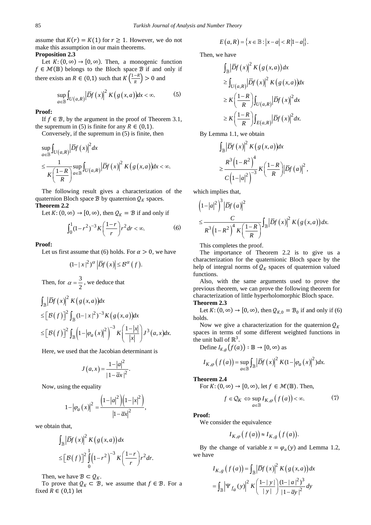assume that  $K(r) = K(1)$  for  $r \ge 1$ . However, we do not make this assumption in our main theorems. **Proposition 2.3**

Let  $K: (0, \infty) \to [0, \infty)$ . Then, a monogenic function  $f \in \mathcal{M}(\mathbb{B})$  belongs to the Bloch space  $\mathcal{B}$  if and only if there exists an  $R \in (0,1)$  such that  $K\left(\frac{1-R}{R}\right) > 0$  and

$$
\sup_{a \in \mathbb{B}} \int_{U(a,R)} \left| \overline{D}f(x) \right|^2 K\big(g(x,a)\big) dx < \infty. \tag{5}
$$

#### **Proof:**

If  $f \in \mathcal{B}$ , by the argument in the proof of Theorem 3.1, the supremum in (5) is finite for any  $R \in (0,1)$ .

Conversely, if the supremum in (5) is finite, then

$$
\sup_{a \in \mathbb{B}} \int_{U(a,R)} |\overline{D}f(x)|^2 dx
$$
\n
$$
\leq \frac{1}{K\left(\frac{1-R}{R}\right)^{\alpha}} \sup_{a \in \mathbb{B}} \int_{U(a,R)} |\overline{D}f(x)|^2 K(g(x,a)) dx < \infty.
$$

The following result gives a characterization of the quaternion Bloch space  $\mathcal{B}$  by quaternion  $\mathcal{Q}_K$  spaces.

### **Theorem 2.2**

Let  $K: (0, \infty) \to [0, \infty)$ , then  $\mathcal{Q}_K = \mathcal{B}$  if and only if

$$
\int_0^1 (1 - r^2)^{-3} K\left(\frac{1 - r}{r}\right) r^2 dr < \infty. \tag{6}
$$

#### **Proof:**

Let us first assume that (6) holds. For  $\alpha > 0$ , we have

$$
(1-|x|^2)^{\alpha} \left| \overline{D}f(x) \right| \leq \mathcal{B}^{\alpha}(f).
$$

Then, for 
$$
\alpha = \frac{3}{2}
$$
, we deduce that

$$
\int_{\mathbb{B}} \left| \overline{D}f(x) \right|^2 K\left(g(x,a)\right) dx
$$
\n
$$
\leq \left[\mathcal{B}(f)\right]^2 \int_{\mathbb{B}} (1-|x|^2)^{-3} K\left(g(x,a)\right) dx
$$
\n
$$
\leq \left[\mathcal{B}(f)\right]^2 \int_{\mathbb{B}} \left(1-|\varphi_a(x)|^2\right)^{-3} K\left(\frac{1-|x|}{|x|}\right) J^3(a,x) dx.
$$

Here, we used that the Jacobian determinant is

$$
J\left(a,x\right) = \frac{1-|a|^2}{\left|1-\overline{a}x\right|^2}.
$$

Now, using the equality

$$
1 - |\varphi_a(x)|^2 = \frac{\left(1 - |a|^2\right)\left(1 - |x|^2\right)}{|1 - \overline{a}x|^2},
$$

we obtain that,

$$
\int_{\mathbb{B}} \left| \overline{D} f(x) \right|^2 K\left(g(x,a)\right) dx
$$
  

$$
\leq \left[ \mathcal{B}(f) \right]^2 \int_{0}^{1} \left(1 - r^2\right)^{-3} K\left(\frac{1 - r}{r}\right) r^2 dr.
$$

Then, we have  $\mathcal{B} \subset \mathcal{Q}_K$ .

To prove that  $Q_K \subset \mathcal{B}$ , we assume that  $f \in \mathcal{B}$ . For a fixed  $R \in (0,1)$  let

$$
E(a,R) = \left\{ x \in \mathbb{B} : |x-a| < R\left|1-a\right|\right\}.
$$

Then, we have

$$
\int_{\mathbb{B}} \left| \overline{D}f(x) \right|^2 K\left(g(x,a)\right) dx
$$
\n
$$
\geq \int_{U\left(a,R\right)} \left| \overline{D}f(x) \right|^2 K\left(g(x,a)\right) dx
$$
\n
$$
\geq K\left(\frac{1-R}{R}\right) \int_{U\left(a,R\right)} \left| \overline{D}f(x) \right|^2 dx
$$
\n
$$
\geq K\left(\frac{1-R}{R}\right) \int_{E\left(a,R\right)} \left| \overline{D}f(x) \right|^2 dx.
$$

By Lemma 1.1, we obtain

$$
\int_{\mathbb{B}} \left| \overline{D} f(x) \right|^2 K\left( g(x,a) \right) dx
$$
  
\n
$$
\geq \frac{R^3 \left( 1 - R^2 \right)^4}{C \left( 1 - |a|^2 \right)^{-3}} K\left( \frac{1 - R}{R} \right) \left| \overline{D} f(a) \right|^2,
$$

which implies that,

$$
\left(1-|a|^2\right)^3 \left|\overline{D}f(a)\right|^2
$$
  

$$
\leq \frac{C}{R^3 \left(1-R^2\right)^4 K \left(\frac{1-R}{R}\right)} \int_{\mathbb{B}} \left|\overline{D}f(x)\right|^2 K \left(g(x,a)\right) dx.
$$

This completes the proof.

The importance of Theorem 2.2 is to give us a characterization for the quaternionic Bloch space by the help of integral norms of  $Q_K$  spaces of quaternion valued functions.

Also, with the same arguments used to prove the previous theorem, we can prove the following theorem for characterization of little hyperholomorphic Bloch space.

### **Theorem 2.3**

Let  $K: (0, \infty) \to [0, \infty)$ , then  $\mathcal{Q}_{K,0} = \mathcal{B}_0$  if and only if (6) holds.

Now we give a characterization for the quaternion  $Q_K$ spaces in terms of some different weighted functions in the unit ball of  $\mathbb{R}^3$ .

Define 
$$
I_{K,g}(f(a)) : \mathbb{B} \to [0, \infty)
$$
 as

$$
I_{K,\varphi}\left(f\left(a\right)\right)=\sup_{a\in\mathbb{B}}\int_{\mathbb{B}}\left|\overline{D}f\left(x\right)\right|^{2}K(1-\left|\varphi_{a}\left(x\right)\right|^{2})dx.
$$

**Theorem 2.4**

For 
$$
K: (0, \infty) \to [0, \infty)
$$
, let  $f \in \mathcal{M}(\mathbb{B})$ . Then,

$$
f \in \mathcal{Q}_K \Leftrightarrow \sup_{a \in \mathbb{B}} I_{K,\varphi}\big(f\big(a\big)\big) < \infty. \tag{7}
$$

**Proof:**

We consider the equivalence

$$
I_{K,\varphi}\big(f\big(a\big)\big)\approx I_{K,g}\big(f\big(a\big)\big).
$$

By the change of variable  $x = \varphi_a(y)$  and Lemma 1.2, we have

$$
I_{K,g}(f(a)) = \int_{\mathbb{B}} |\overline{D}f(x)|^2 K(g(x,a)) dx
$$

$$
= \int_{\mathbb{B}} \left| \Psi_{f_a}(y) \right|^2 K\left( \frac{1-|y|}{|y|} \right) \frac{(1-|a|^2)^3}{|1-\overline{a}y|^2} dy
$$